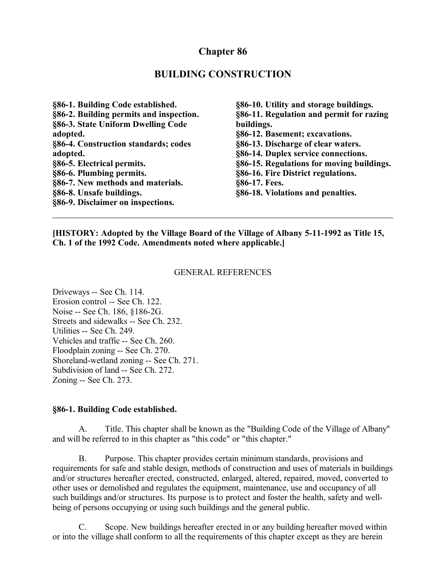## **Chapter 86**

### **BUILDING CONSTRUCTION**

**§86-1. Building Code established. §86-2. Building permits and inspection. §86-3. State Uniform Dwelling Code adopted. §86-4. Construction standards; codes adopted. §86-5. Electrical permits. §86-6. Plumbing permits. §86-7. New methods and materials. §86-8. Unsafe buildings. §86-9. Disclaimer on inspections.**

**§86-10. Utility and storage buildings. §86-11. Regulation and permit for razing buildings. §86-12. Basement; excavations. §86-13. Discharge of clear waters. §86-14. Duplex service connections. §86-15. Regulations for moving buildings. §86-16. Fire District regulations. §86-17. Fees. §86-18. Violations and penalties.**

**[HISTORY: Adopted by the Village Board of the Village of Albany 5-11-1992 as Title 15, Ch. 1 of the 1992 Code. Amendments noted where applicable.]**

#### GENERAL REFERENCES

Driveways -- See Ch. 114. Erosion control -- See Ch. 122. Noise -- See Ch. 186, §186-2G. Streets and sidewalks -- See Ch. 232. Utilities -- See Ch. 249. Vehicles and traffic -- See Ch. 260. Floodplain zoning -- See Ch. 270. Shoreland-wetland zoning -- See Ch. 271. Subdivision of land -- See Ch. 272. Zoning -- See Ch. 273.

#### **§86-1. Building Code established.**

A. Title. This chapter shall be known as the "Building Code of the Village of Albany" and will be referred to in this chapter as "this code" or "this chapter."

B. Purpose. This chapter provides certain minimum standards, provisions and requirements for safe and stable design, methods of construction and uses of materials in buildings and/or structures hereafter erected, constructed, enlarged, altered, repaired, moved, converted to other uses or demolished and regulates the equipment, maintenance, use and occupancy of all such buildings and/or structures. Its purpose is to protect and foster the health, safety and wellbeing of persons occupying or using such buildings and the general public.

C. Scope. New buildings hereafter erected in or any building hereafter moved within or into the village shall conform to all the requirements of this chapter except as they are herein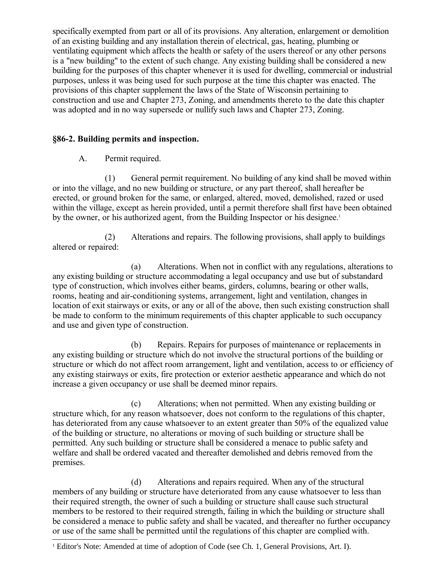specifically exempted from part or all of its provisions. Any alteration, enlargement or demolition of an existing building and any installation therein of electrical, gas, heating, plumbing or ventilating equipment which affects the health or safety of the users thereof or any other persons is a "new building" to the extent of such change. Any existing building shall be considered a new building for the purposes of this chapter whenever it is used for dwelling, commercial or industrial purposes, unless it was being used for such purpose at the time this chapter was enacted. The provisions of this chapter supplement the laws of the State of Wisconsin pertaining to construction and use and Chapter 273, Zoning, and amendments thereto to the date this chapter was adopted and in no way supersede or nullify such laws and Chapter 273, Zoning.

## **§86-2. Building permits and inspection.**

A. Permit required.

(1) General permit requirement. No building of any kind shall be moved within or into the village, and no new building or structure, or any part thereof, shall hereafter be erected, or ground broken for the same, or enlarged, altered, moved, demolished, razed or used within the village, except as herein provided, until a permit therefore shall first have been obtained by the owner, or his authorized agent, from the Building Inspector or his designee.<sup>[1](#page-1-0)</sup>

(2) Alterations and repairs. The following provisions, shall apply to buildings altered or repaired:

(a) Alterations. When not in conflict with any regulations, alterations to any existing building or structure accommodating a legal occupancy and use but of substandard type of construction, which involves either beams, girders, columns, bearing or other walls, rooms, heating and air-conditioning systems, arrangement, light and ventilation, changes in location of exit stairways or exits, or any or all of the above, then such existing construction shall be made to conform to the minimum requirements of this chapter applicable to such occupancy and use and given type of construction.

(b) Repairs. Repairs for purposes of maintenance or replacements in any existing building or structure which do not involve the structural portions of the building or structure or which do not affect room arrangement, light and ventilation, access to or efficiency of any existing stairways or exits, fire protection or exterior aesthetic appearance and which do not increase a given occupancy or use shall be deemed minor repairs.

(c) Alterations; when not permitted. When any existing building or structure which, for any reason whatsoever, does not conform to the regulations of this chapter, has deteriorated from any cause whatsoever to an extent greater than 50% of the equalized value of the building or structure, no alterations or moving of such building or structure shall be permitted. Any such building or structure shall be considered a menace to public safety and welfare and shall be ordered vacated and thereafter demolished and debris removed from the premises.

(d) Alterations and repairs required. When any of the structural members of any building or structure have deteriorated from any cause whatsoever to less than their required strength, the owner of such a building or structure shall cause such structural members to be restored to their required strength, failing in which the building or structure shall be considered a menace to public safety and shall be vacated, and thereafter no further occupancy or use of the same shall be permitted until the regulations of this chapter are complied with.

<span id="page-1-0"></span><sup>1</sup> Editor's Note: Amended at time of adoption of Code (see Ch. 1, General Provisions, Art. I).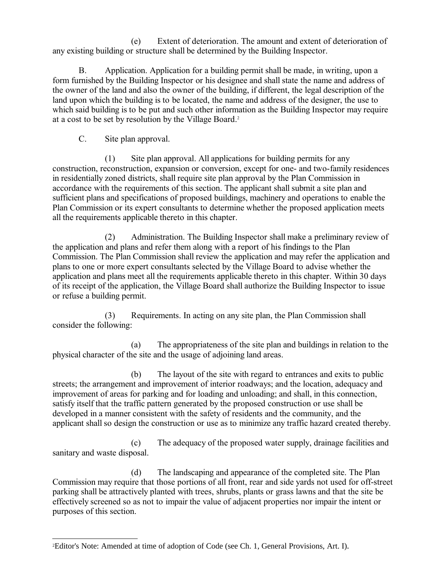(e) Extent of deterioration. The amount and extent of deterioration of any existing building or structure shall be determined by the Building Inspector.

B. Application. Application for a building permit shall be made, in writing, upon a form furnished by the Building Inspector or his designee and shall state the name and address of the owner of the land and also the owner of the building, if different, the legal description of the land upon which the building is to be located, the name and address of the designer, the use to which said building is to be put and such other information as the Building Inspector may require at a cost to be set by resolution by the Village Board.[2](#page-2-0)

C. Site plan approval.

(1) Site plan approval. All applications for building permits for any construction, reconstruction, expansion or conversion, except for one- and two-family residences in residentially zoned districts, shall require site plan approval by the Plan Commission in accordance with the requirements of this section. The applicant shall submit a site plan and sufficient plans and specifications of proposed buildings, machinery and operations to enable the Plan Commission or its expert consultants to determine whether the proposed application meets all the requirements applicable thereto in this chapter.

(2) Administration. The Building Inspector shall make a preliminary review of the application and plans and refer them along with a report of his findings to the Plan Commission. The Plan Commission shall review the application and may refer the application and plans to one or more expert consultants selected by the Village Board to advise whether the application and plans meet all the requirements applicable thereto in this chapter. Within 30 days of its receipt of the application, the Village Board shall authorize the Building Inspector to issue or refuse a building permit.

(3) Requirements. In acting on any site plan, the Plan Commission shall consider the following:

(a) The appropriateness of the site plan and buildings in relation to the physical character of the site and the usage of adjoining land areas.

(b) The layout of the site with regard to entrances and exits to public streets; the arrangement and improvement of interior roadways; and the location, adequacy and improvement of areas for parking and for loading and unloading; and shall, in this connection, satisfy itself that the traffic pattern generated by the proposed construction or use shall be developed in a manner consistent with the safety of residents and the community, and the applicant shall so design the construction or use as to minimize any traffic hazard created thereby.

(c) The adequacy of the proposed water supply, drainage facilities and sanitary and waste disposal.

(d) The landscaping and appearance of the completed site. The Plan Commission may require that those portions of all front, rear and side yards not used for off-street parking shall be attractively planted with trees, shrubs, plants or grass lawns and that the site be effectively screened so as not to impair the value of adjacent properties nor impair the intent or purposes of this section.

<span id="page-2-0"></span><sup>2</sup>Editor's Note: Amended at time of adoption of Code (see Ch. 1, General Provisions, Art. I).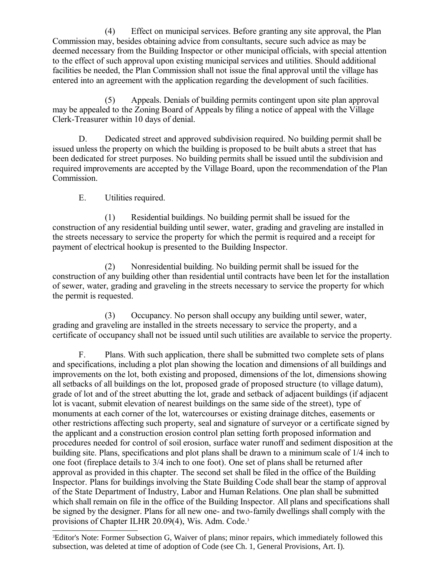(4) Effect on municipal services. Before granting any site approval, the Plan Commission may, besides obtaining advice from consultants, secure such advice as may be deemed necessary from the Building Inspector or other municipal officials, with special attention to the effect of such approval upon existing municipal services and utilities. Should additional facilities be needed, the Plan Commission shall not issue the final approval until the village has entered into an agreement with the application regarding the development of such facilities.

(5) Appeals. Denials of building permits contingent upon site plan approval may be appealed to the Zoning Board of Appeals by filing a notice of appeal with the Village Clerk-Treasurer within 10 days of denial.

D. Dedicated street and approved subdivision required. No building permit shall be issued unless the property on which the building is proposed to be built abuts a street that has been dedicated for street purposes. No building permits shall be issued until the subdivision and required improvements are accepted by the Village Board, upon the recommendation of the Plan Commission.

E. Utilities required.

(1) Residential buildings. No building permit shall be issued for the construction of any residential building until sewer, water, grading and graveling are installed in the streets necessary to service the property for which the permit is required and a receipt for payment of electrical hookup is presented to the Building Inspector.

(2) Nonresidential building. No building permit shall be issued for the construction of any building other than residential until contracts have been let for the installation of sewer, water, grading and graveling in the streets necessary to service the property for which the permit is requested.

(3) Occupancy. No person shall occupy any building until sewer, water, grading and graveling are installed in the streets necessary to service the property, and a certificate of occupancy shall not be issued until such utilities are available to service the property.

F. Plans. With such application, there shall be submitted two complete sets of plans and specifications, including a plot plan showing the location and dimensions of all buildings and improvements on the lot, both existing and proposed, dimensions of the lot, dimensions showing all setbacks of all buildings on the lot, proposed grade of proposed structure (to village datum), grade of lot and of the street abutting the lot, grade and setback of adjacent buildings (if adjacent lot is vacant, submit elevation of nearest buildings on the same side of the street), type of monuments at each corner of the lot, watercourses or existing drainage ditches, easements or other restrictions affecting such property, seal and signature of surveyor or a certificate signed by the applicant and a construction erosion control plan setting forth proposed information and procedures needed for control of soil erosion, surface water runoff and sediment disposition at the building site. Plans, specifications and plot plans shall be drawn to a minimum scale of 1/4 inch to one foot (fireplace details to 3/4 inch to one foot). One set of plans shall be returned after approval as provided in this chapter. The second set shall be filed in the office of the Building Inspector. Plans for buildings involving the State Building Code shall bear the stamp of approval of the State Department of Industry, Labor and Human Relations. One plan shall be submitted which shall remain on file in the office of the Building Inspector. All plans and specifications shall be signed by the designer. Plans for all new one- and two-family dwellings shall comply with the provisions of Chapter ILHR 20.09(4), Wis. Adm. Code.<sup>[3](#page-3-0)</sup>

<span id="page-3-0"></span><sup>3</sup>Editor's Note: Former Subsection G, Waiver of plans; minor repairs, which immediately followed this subsection, was deleted at time of adoption of Code (see Ch. 1, General Provisions, Art. I).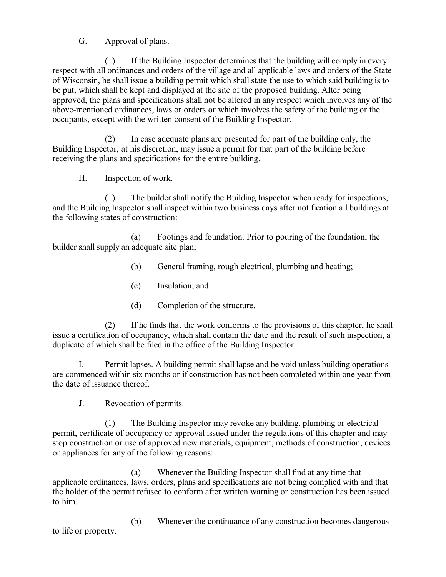G. Approval of plans.

(1) If the Building Inspector determines that the building will comply in every respect with all ordinances and orders of the village and all applicable laws and orders of the State of Wisconsin, he shall issue a building permit which shall state the use to which said building is to be put, which shall be kept and displayed at the site of the proposed building. After being approved, the plans and specifications shall not be altered in any respect which involves any of the above-mentioned ordinances, laws or orders or which involves the safety of the building or the occupants, except with the written consent of the Building Inspector.

(2) In case adequate plans are presented for part of the building only, the Building Inspector, at his discretion, may issue a permit for that part of the building before receiving the plans and specifications for the entire building.

H. Inspection of work.

(1) The builder shall notify the Building Inspector when ready for inspections, and the Building Inspector shall inspect within two business days after notification all buildings at the following states of construction:

(a) Footings and foundation. Prior to pouring of the foundation, the builder shall supply an adequate site plan;

- (b) General framing, rough electrical, plumbing and heating;
- (c) Insulation; and
- (d) Completion of the structure.

(2) If he finds that the work conforms to the provisions of this chapter, he shall issue a certification of occupancy, which shall contain the date and the result of such inspection, a duplicate of which shall be filed in the office of the Building Inspector.

I. Permit lapses. A building permit shall lapse and be void unless building operations are commenced within six months or if construction has not been completed within one year from the date of issuance thereof.

J. Revocation of permits.

(1) The Building Inspector may revoke any building, plumbing or electrical permit, certificate of occupancy or approval issued under the regulations of this chapter and may stop construction or use of approved new materials, equipment, methods of construction, devices or appliances for any of the following reasons:

(a) Whenever the Building Inspector shall find at any time that applicable ordinances, laws, orders, plans and specifications are not being complied with and that the holder of the permit refused to conform after written warning or construction has been issued to him.

(b) Whenever the continuance of any construction becomes dangerous to life or property.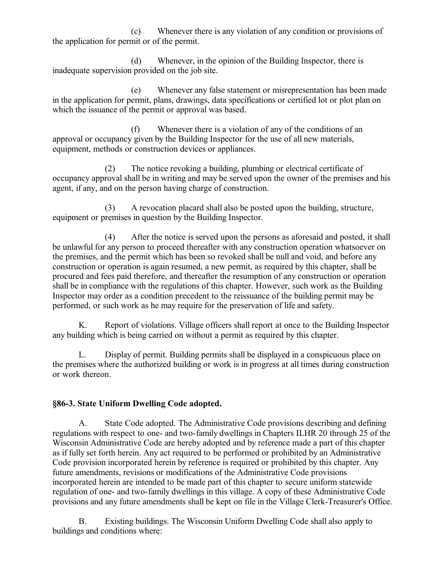(c) Whenever there is any violation of any condition or provisions of the application for permit or of the permit.

(d) Whenever, in the opinion of the Building Inspector, there is inadequate supervision provided on the job site.

(e) Whenever any false statement or misrepresentation has been made in the application for permit, plans, drawings, data specifications or certified lot or plot plan on which the issuance of the permit or approval was based.

(f) Whenever there is a violation of any of the conditions of an approval or occupancy given by the Building Inspector for the use of all new materials, equipment, methods or construction devices or appliances.

(2) The notice revoking a building, plumbing or electrical certificate of occupancy approval shall be in writing and may be served upon the owner of the premises and his agent, if any, and on the person having charge of construction.

(3) A revocation placard shall also be posted upon the building, structure, equipment or premises in question by the Building Inspector.

(4) After the notice is served upon the persons as aforesaid and posted, it shall be unlawful for any person to proceed thereafter with any construction operation whatsoever on the premises, and the permit which has been so revoked shall be null and void, and before any construction or operation is again resumed, a new permit, as required by this chapter, shall be procured and fees paid therefore, and thereafter the resumption of any construction or operation shall be in compliance with the regulations of this chapter. However, such work as the Building Inspector may order as a condition precedent to the reissuance of the building permit may be performed, or such work as he may require for the preservation of life and safety.

K. Report of violations. Village officers shall report at once to the Building Inspector any building which is being carried on without a permit as required by this chapter.

L. Display of permit. Building permits shall be displayed in a conspicuous place on the premises where the authorized building or work is in progress at all times during construction or work thereon.

### **§86-3. State Uniform Dwelling Code adopted.**

A. State Code adopted. The Administrative Code provisions describing and defining regulations with respect to one- and two-family dwellings in Chapters ILHR 20 through 25 of the Wisconsin Administrative Code are hereby adopted and by reference made a part of this chapter as if fully set forth herein. Any act required to be performed or prohibited by an Administrative Code provision incorporated herein by reference is required or prohibited by this chapter. Any future amendments, revisions or modifications of the Administrative Code provisions incorporated herein are intended to be made part of this chapter to secure uniform statewide regulation of one- and two-family dwellings in this village. A copy of these Administrative Code provisions and any future amendments shall be kept on file in the Village Clerk-Treasurer's Office.

B. Existing buildings. The Wisconsin Uniform Dwelling Code shall also apply to buildings and conditions where: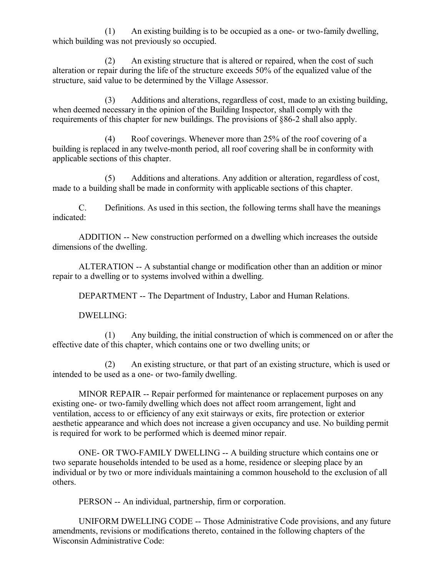(1) An existing building is to be occupied as a one- or two-family dwelling, which building was not previously so occupied.

(2) An existing structure that is altered or repaired, when the cost of such alteration or repair during the life of the structure exceeds 50% of the equalized value of the structure, said value to be determined by the Village Assessor.

(3) Additions and alterations, regardless of cost, made to an existing building, when deemed necessary in the opinion of the Building Inspector, shall comply with the requirements of this chapter for new buildings. The provisions of §86-2 shall also apply.

(4) Roof coverings. Whenever more than 25% of the roof covering of a building is replaced in any twelve-month period, all roof covering shall be in conformity with applicable sections of this chapter.

(5) Additions and alterations. Any addition or alteration, regardless of cost, made to a building shall be made in conformity with applicable sections of this chapter.

C. Definitions. As used in this section, the following terms shall have the meanings indicated:

ADDITION -- New construction performed on a dwelling which increases the outside dimensions of the dwelling.

ALTERATION -- A substantial change or modification other than an addition or minor repair to a dwelling or to systems involved within a dwelling.

DEPARTMENT -- The Department of Industry, Labor and Human Relations.

DWELLING:

(1) Any building, the initial construction of which is commenced on or after the effective date of this chapter, which contains one or two dwelling units; or

(2) An existing structure, or that part of an existing structure, which is used or intended to be used as a one- or two-family dwelling.

MINOR REPAIR -- Repair performed for maintenance or replacement purposes on any existing one- or two-family dwelling which does not affect room arrangement, light and ventilation, access to or efficiency of any exit stairways or exits, fire protection or exterior aesthetic appearance and which does not increase a given occupancy and use. No building permit is required for work to be performed which is deemed minor repair.

ONE- OR TWO-FAMILY DWELLING -- A building structure which contains one or two separate households intended to be used as a home, residence or sleeping place by an individual or by two or more individuals maintaining a common household to the exclusion of all others.

PERSON -- An individual, partnership, firm or corporation.

UNIFORM DWELLING CODE -- Those Administrative Code provisions, and any future amendments, revisions or modifications thereto, contained in the following chapters of the Wisconsin Administrative Code: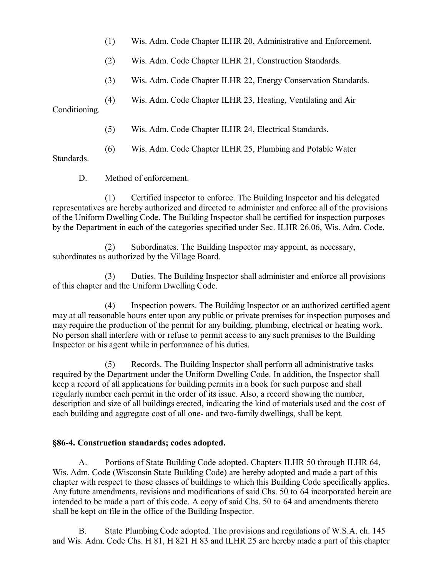- (1) Wis. Adm. Code Chapter ILHR 20, Administrative and Enforcement.
- (2) Wis. Adm. Code Chapter ILHR 21, Construction Standards.
- (3) Wis. Adm. Code Chapter ILHR 22, Energy Conservation Standards.
- (4) Wis. Adm. Code Chapter ILHR 23, Heating, Ventilating and Air

Conditioning.

- (5) Wis. Adm. Code Chapter ILHR 24, Electrical Standards.
- (6) Wis. Adm. Code Chapter ILHR 25, Plumbing and Potable Water

Standards.

D. Method of enforcement.

(1) Certified inspector to enforce. The Building Inspector and his delegated representatives are hereby authorized and directed to administer and enforce all of the provisions of the Uniform Dwelling Code. The Building Inspector shall be certified for inspection purposes by the Department in each of the categories specified under Sec. ILHR 26.06, Wis. Adm. Code.

(2) Subordinates. The Building Inspector may appoint, as necessary, subordinates as authorized by the Village Board.

(3) Duties. The Building Inspector shall administer and enforce all provisions of this chapter and the Uniform Dwelling Code.

(4) Inspection powers. The Building Inspector or an authorized certified agent may at all reasonable hours enter upon any public or private premises for inspection purposes and may require the production of the permit for any building, plumbing, electrical or heating work. No person shall interfere with or refuse to permit access to any such premises to the Building Inspector or his agent while in performance of his duties.

(5) Records. The Building Inspector shall perform all administrative tasks required by the Department under the Uniform Dwelling Code. In addition, the Inspector shall keep a record of all applications for building permits in a book for such purpose and shall regularly number each permit in the order of its issue. Also, a record showing the number, description and size of all buildings erected, indicating the kind of materials used and the cost of each building and aggregate cost of all one- and two-family dwellings, shall be kept.

### **§86-4. Construction standards; codes adopted.**

A. Portions of State Building Code adopted. Chapters ILHR 50 through ILHR 64, Wis. Adm. Code (Wisconsin State Building Code) are hereby adopted and made a part of this chapter with respect to those classes of buildings to which this Building Code specifically applies. Any future amendments, revisions and modifications of said Chs. 50 to 64 incorporated herein are intended to be made a part of this code. A copy of said Chs. 50 to 64 and amendments thereto shall be kept on file in the office of the Building Inspector.

B. State Plumbing Code adopted. The provisions and regulations of W.S.A. ch. 145 and Wis. Adm. Code Chs. H 81, H 821 H 83 and ILHR 25 are hereby made a part of this chapter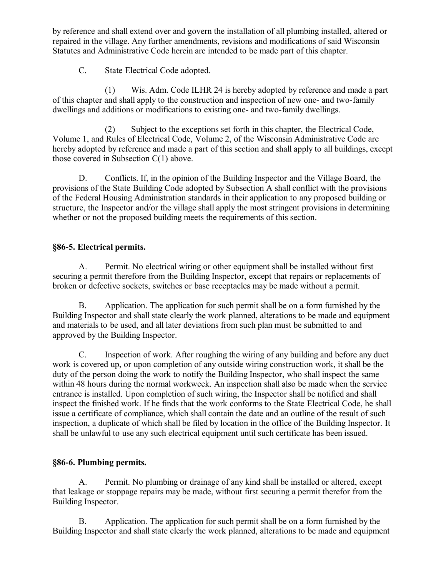by reference and shall extend over and govern the installation of all plumbing installed, altered or repaired in the village. Any further amendments, revisions and modifications of said Wisconsin Statutes and Administrative Code herein are intended to be made part of this chapter.

C. State Electrical Code adopted.

(1) Wis. Adm. Code ILHR 24 is hereby adopted by reference and made a part of this chapter and shall apply to the construction and inspection of new one- and two-family dwellings and additions or modifications to existing one- and two-family dwellings.

(2) Subject to the exceptions set forth in this chapter, the Electrical Code, Volume 1, and Rules of Electrical Code, Volume 2, of the Wisconsin Administrative Code are hereby adopted by reference and made a part of this section and shall apply to all buildings, except those covered in Subsection  $C(1)$  above.

D. Conflicts. If, in the opinion of the Building Inspector and the Village Board, the provisions of the State Building Code adopted by Subsection A shall conflict with the provisions of the Federal Housing Administration standards in their application to any proposed building or structure, the Inspector and/or the village shall apply the most stringent provisions in determining whether or not the proposed building meets the requirements of this section.

## **§86-5. Electrical permits.**

A. Permit. No electrical wiring or other equipment shall be installed without first securing a permit therefore from the Building Inspector, except that repairs or replacements of broken or defective sockets, switches or base receptacles may be made without a permit.

B. Application. The application for such permit shall be on a form furnished by the Building Inspector and shall state clearly the work planned, alterations to be made and equipment and materials to be used, and all later deviations from such plan must be submitted to and approved by the Building Inspector.

C. Inspection of work. After roughing the wiring of any building and before any duct work is covered up, or upon completion of any outside wiring construction work, it shall be the duty of the person doing the work to notify the Building Inspector, who shall inspect the same within 48 hours during the normal workweek. An inspection shall also be made when the service entrance is installed. Upon completion of such wiring, the Inspector shall be notified and shall inspect the finished work. If he finds that the work conforms to the State Electrical Code, he shall issue a certificate of compliance, which shall contain the date and an outline of the result of such inspection, a duplicate of which shall be filed by location in the office of the Building Inspector. It shall be unlawful to use any such electrical equipment until such certificate has been issued.

## **§86-6. Plumbing permits.**

A. Permit. No plumbing or drainage of any kind shall be installed or altered, except that leakage or stoppage repairs may be made, without first securing a permit therefor from the Building Inspector.

B. Application. The application for such permit shall be on a form furnished by the Building Inspector and shall state clearly the work planned, alterations to be made and equipment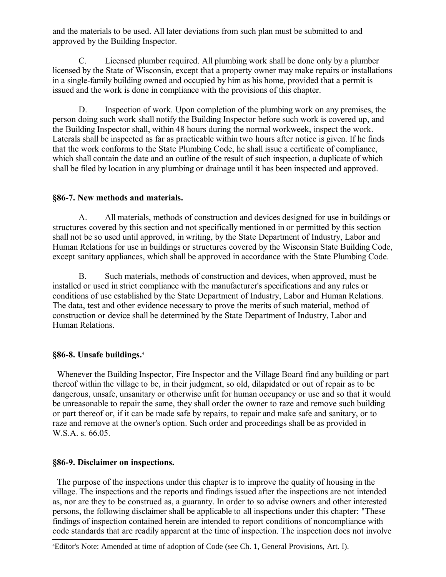and the materials to be used. All later deviations from such plan must be submitted to and approved by the Building Inspector.

C. Licensed plumber required. All plumbing work shall be done only by a plumber licensed by the State of Wisconsin, except that a property owner may make repairs or installations in a single-family building owned and occupied by him as his home, provided that a permit is issued and the work is done in compliance with the provisions of this chapter.

D. Inspection of work. Upon completion of the plumbing work on any premises, the person doing such work shall notify the Building Inspector before such work is covered up, and the Building Inspector shall, within 48 hours during the normal workweek, inspect the work. Laterals shall be inspected as far as practicable within two hours after notice is given. If he finds that the work conforms to the State Plumbing Code, he shall issue a certificate of compliance, which shall contain the date and an outline of the result of such inspection, a duplicate of which shall be filed by location in any plumbing or drainage until it has been inspected and approved.

### **§86-7. New methods and materials.**

A. All materials, methods of construction and devices designed for use in buildings or structures covered by this section and not specifically mentioned in or permitted by this section shall not be so used until approved, in writing, by the State Department of Industry, Labor and Human Relations for use in buildings or structures covered by the Wisconsin State Building Code, except sanitary appliances, which shall be approved in accordance with the State Plumbing Code.

B. Such materials, methods of construction and devices, when approved, must be installed or used in strict compliance with the manufacturer's specifications and any rules or conditions of use established by the State Department of Industry, Labor and Human Relations. The data, test and other evidence necessary to prove the merits of such material, method of construction or device shall be determined by the State Department of Industry, Labor and Human Relations.

#### **§86-8. Unsafe buildings.**[4](#page-9-0)

 Whenever the Building Inspector, Fire Inspector and the Village Board find any building or part thereof within the village to be, in their judgment, so old, dilapidated or out of repair as to be dangerous, unsafe, unsanitary or otherwise unfit for human occupancy or use and so that it would be unreasonable to repair the same, they shall order the owner to raze and remove such building or part thereof or, if it can be made safe by repairs, to repair and make safe and sanitary, or to raze and remove at the owner's option. Such order and proceedings shall be as provided in W.S.A. s. 66.05.

#### **§86-9. Disclaimer on inspections.**

 The purpose of the inspections under this chapter is to improve the quality of housing in the village. The inspections and the reports and findings issued after the inspections are not intended as, nor are they to be construed as, a guaranty. In order to so advise owners and other interested persons, the following disclaimer shall be applicable to all inspections under this chapter: "These findings of inspection contained herein are intended to report conditions of noncompliance with code standards that are readily apparent at the time of inspection. The inspection does not involve

<span id="page-9-0"></span><sup>4</sup>Editor's Note: Amended at time of adoption of Code (see Ch. 1, General Provisions, Art. I).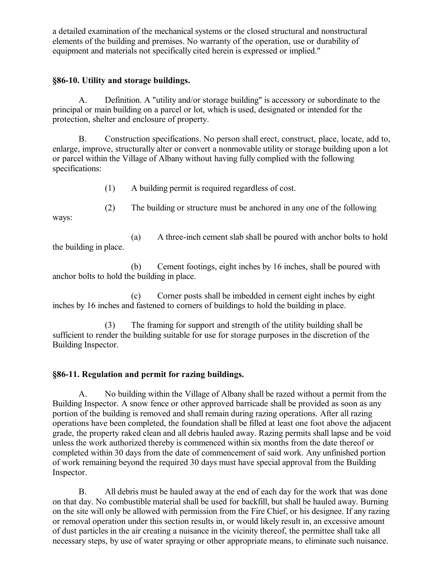a detailed examination of the mechanical systems or the closed structural and nonstructural elements of the building and premises. No warranty of the operation, use or durability of equipment and materials not specifically cited herein is expressed or implied."

### **§86-10. Utility and storage buildings.**

A. Definition. A "utility and/or storage building" is accessory or subordinate to the principal or main building on a parcel or lot, which is used, designated or intended for the protection, shelter and enclosure of property.

B. Construction specifications. No person shall erect, construct, place, locate, add to, enlarge, improve, structurally alter or convert a nonmovable utility or storage building upon a lot or parcel within the Village of Albany without having fully complied with the following specifications:

(1) A building permit is required regardless of cost.

(2) The building or structure must be anchored in any one of the following ways:

(a) A three-inch cement slab shall be poured with anchor bolts to hold the building in place.

(b) Cement footings, eight inches by 16 inches, shall be poured with anchor bolts to hold the building in place.

(c) Corner posts shall be imbedded in cement eight inches by eight inches by 16 inches and fastened to corners of buildings to hold the building in place.

(3) The framing for support and strength of the utility building shall be sufficient to render the building suitable for use for storage purposes in the discretion of the Building Inspector.

## **§86-11. Regulation and permit for razing buildings.**

A. No building within the Village of Albany shall be razed without a permit from the Building Inspector. A snow fence or other approved barricade shall be provided as soon as any portion of the building is removed and shall remain during razing operations. After all razing operations have been completed, the foundation shall be filled at least one foot above the adjacent grade, the property raked clean and all debris hauled away. Razing permits shall lapse and be void unless the work authorized thereby is commenced within six months from the date thereof or completed within 30 days from the date of commencement of said work. Any unfinished portion of work remaining beyond the required 30 days must have special approval from the Building Inspector.

B. All debris must be hauled away at the end of each day for the work that was done on that day. No combustible material shall be used for backfill, but shall be hauled away. Burning on the site will only be allowed with permission from the Fire Chief, or his designee. If any razing or removal operation under this section results in, or would likely result in, an excessive amount of dust particles in the air creating a nuisance in the vicinity thereof, the permittee shall take all necessary steps, by use of water spraying or other appropriate means, to eliminate such nuisance.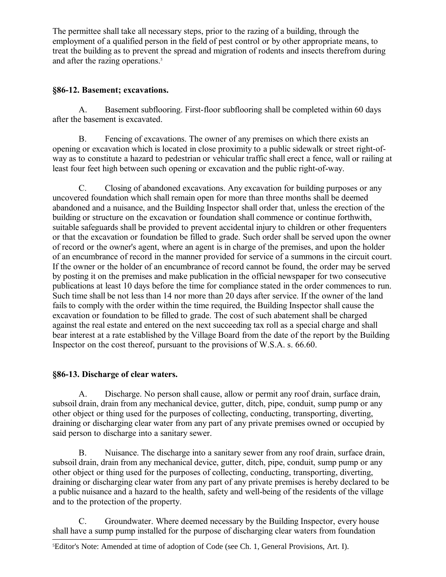The permittee shall take all necessary steps, prior to the razing of a building, through the employment of a qualified person in the field of pest control or by other appropriate means, to treat the building as to prevent the spread and migration of rodents and insects therefrom during and after the razing operations.<sup>[5](#page-11-0)</sup>

## **§86-12. Basement; excavations.**

A. Basement subflooring. First-floor subflooring shall be completed within 60 days after the basement is excavated.

B. Fencing of excavations. The owner of any premises on which there exists an opening or excavation which is located in close proximity to a public sidewalk or street right-ofway as to constitute a hazard to pedestrian or vehicular traffic shall erect a fence, wall or railing at least four feet high between such opening or excavation and the public right-of-way.

C. Closing of abandoned excavations. Any excavation for building purposes or any uncovered foundation which shall remain open for more than three months shall be deemed abandoned and a nuisance, and the Building Inspector shall order that, unless the erection of the building or structure on the excavation or foundation shall commence or continue forthwith, suitable safeguards shall be provided to prevent accidental injury to children or other frequenters or that the excavation or foundation be filled to grade. Such order shall be served upon the owner of record or the owner's agent, where an agent is in charge of the premises, and upon the holder of an encumbrance of record in the manner provided for service of a summons in the circuit court. If the owner or the holder of an encumbrance of record cannot be found, the order may be served by posting it on the premises and make publication in the official newspaper for two consecutive publications at least 10 days before the time for compliance stated in the order commences to run. Such time shall be not less than 14 nor more than 20 days after service. If the owner of the land fails to comply with the order within the time required, the Building Inspector shall cause the excavation or foundation to be filled to grade. The cost of such abatement shall be charged against the real estate and entered on the next succeeding tax roll as a special charge and shall bear interest at a rate established by the Village Board from the date of the report by the Building Inspector on the cost thereof, pursuant to the provisions of W.S.A. s. 66.60.

## **§86-13. Discharge of clear waters.**

A. Discharge. No person shall cause, allow or permit any roof drain, surface drain, subsoil drain, drain from any mechanical device, gutter, ditch, pipe, conduit, sump pump or any other object or thing used for the purposes of collecting, conducting, transporting, diverting, draining or discharging clear water from any part of any private premises owned or occupied by said person to discharge into a sanitary sewer.

B. Nuisance. The discharge into a sanitary sewer from any roof drain, surface drain, subsoil drain, drain from any mechanical device, gutter, ditch, pipe, conduit, sump pump or any other object or thing used for the purposes of collecting, conducting, transporting, diverting, draining or discharging clear water from any part of any private premises is hereby declared to be a public nuisance and a hazard to the health, safety and well-being of the residents of the village and to the protection of the property.

C. Groundwater. Where deemed necessary by the Building Inspector, every house shall have a sump pump installed for the purpose of discharging clear waters from foundation

<span id="page-11-0"></span><sup>5</sup>Editor's Note: Amended at time of adoption of Code (see Ch. 1, General Provisions, Art. I).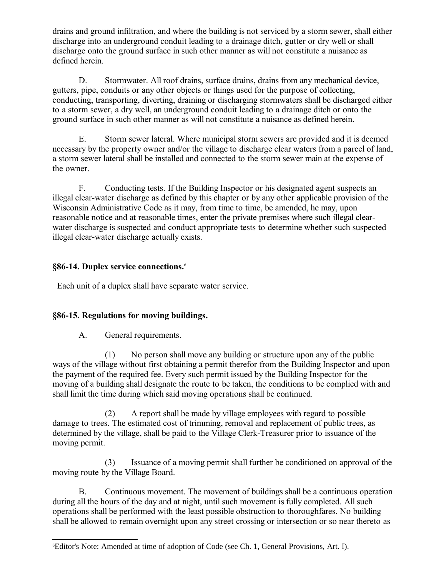drains and ground infiltration, and where the building is not serviced by a storm sewer, shall either discharge into an underground conduit leading to a drainage ditch, gutter or dry well or shall discharge onto the ground surface in such other manner as will not constitute a nuisance as defined herein.

D. Stormwater. All roof drains, surface drains, drains from any mechanical device, gutters, pipe, conduits or any other objects or things used for the purpose of collecting, conducting, transporting, diverting, draining or discharging stormwaters shall be discharged either to a storm sewer, a dry well, an underground conduit leading to a drainage ditch or onto the ground surface in such other manner as will not constitute a nuisance as defined herein.

E. Storm sewer lateral. Where municipal storm sewers are provided and it is deemed necessary by the property owner and/or the village to discharge clear waters from a parcel of land, a storm sewer lateral shall be installed and connected to the storm sewer main at the expense of the owner.

F. Conducting tests. If the Building Inspector or his designated agent suspects an illegal clear-water discharge as defined by this chapter or by any other applicable provision of the Wisconsin Administrative Code as it may, from time to time, be amended, he may, upon reasonable notice and at reasonable times, enter the private premises where such illegal clearwater discharge is suspected and conduct appropriate tests to determine whether such suspected illegal clear-water discharge actually exists.

# **§86-14. Duplex service connections.**[6](#page-12-0)

Each unit of a duplex shall have separate water service.

# **§86-15. Regulations for moving buildings.**

A. General requirements.

(1) No person shall move any building or structure upon any of the public ways of the village without first obtaining a permit therefor from the Building Inspector and upon the payment of the required fee. Every such permit issued by the Building Inspector for the moving of a building shall designate the route to be taken, the conditions to be complied with and shall limit the time during which said moving operations shall be continued.

(2) A report shall be made by village employees with regard to possible damage to trees. The estimated cost of trimming, removal and replacement of public trees, as determined by the village, shall be paid to the Village Clerk-Treasurer prior to issuance of the moving permit.

(3) Issuance of a moving permit shall further be conditioned on approval of the moving route by the Village Board.

B. Continuous movement. The movement of buildings shall be a continuous operation during all the hours of the day and at night, until such movement is fully completed. All such operations shall be performed with the least possible obstruction to thoroughfares. No building shall be allowed to remain overnight upon any street crossing or intersection or so near thereto as

<span id="page-12-0"></span><sup>6</sup>Editor's Note: Amended at time of adoption of Code (see Ch. 1, General Provisions, Art. I).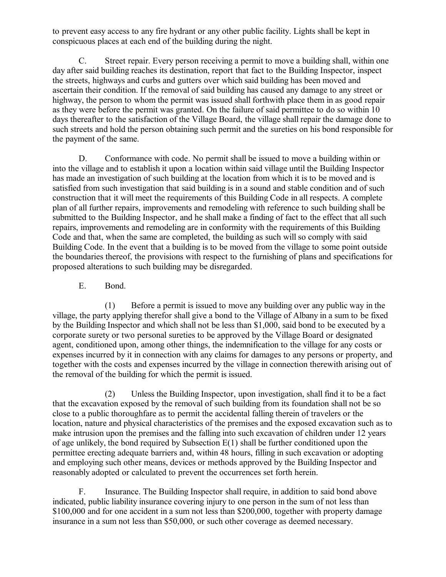to prevent easy access to any fire hydrant or any other public facility. Lights shall be kept in conspicuous places at each end of the building during the night.

C. Street repair. Every person receiving a permit to move a building shall, within one day after said building reaches its destination, report that fact to the Building Inspector, inspect the streets, highways and curbs and gutters over which said building has been moved and ascertain their condition. If the removal of said building has caused any damage to any street or highway, the person to whom the permit was issued shall forthwith place them in as good repair as they were before the permit was granted. On the failure of said permittee to do so within 10 days thereafter to the satisfaction of the Village Board, the village shall repair the damage done to such streets and hold the person obtaining such permit and the sureties on his bond responsible for the payment of the same.

D. Conformance with code. No permit shall be issued to move a building within or into the village and to establish it upon a location within said village until the Building Inspector has made an investigation of such building at the location from which it is to be moved and is satisfied from such investigation that said building is in a sound and stable condition and of such construction that it will meet the requirements of this Building Code in all respects. A complete plan of all further repairs, improvements and remodeling with reference to such building shall be submitted to the Building Inspector, and he shall make a finding of fact to the effect that all such repairs, improvements and remodeling are in conformity with the requirements of this Building Code and that, when the same are completed, the building as such will so comply with said Building Code. In the event that a building is to be moved from the village to some point outside the boundaries thereof, the provisions with respect to the furnishing of plans and specifications for proposed alterations to such building may be disregarded.

E. Bond.

(1) Before a permit is issued to move any building over any public way in the village, the party applying therefor shall give a bond to the Village of Albany in a sum to be fixed by the Building Inspector and which shall not be less than \$1,000, said bond to be executed by a corporate surety or two personal sureties to be approved by the Village Board or designated agent, conditioned upon, among other things, the indemnification to the village for any costs or expenses incurred by it in connection with any claims for damages to any persons or property, and together with the costs and expenses incurred by the village in connection therewith arising out of the removal of the building for which the permit is issued.

(2) Unless the Building Inspector, upon investigation, shall find it to be a fact that the excavation exposed by the removal of such building from its foundation shall not be so close to a public thoroughfare as to permit the accidental falling therein of travelers or the location, nature and physical characteristics of the premises and the exposed excavation such as to make intrusion upon the premises and the falling into such excavation of children under 12 years of age unlikely, the bond required by Subsection  $E(1)$  shall be further conditioned upon the permittee erecting adequate barriers and, within 48 hours, filling in such excavation or adopting and employing such other means, devices or methods approved by the Building Inspector and reasonably adopted or calculated to prevent the occurrences set forth herein.

F. Insurance. The Building Inspector shall require, in addition to said bond above indicated, public liability insurance covering injury to one person in the sum of not less than \$100,000 and for one accident in a sum not less than \$200,000, together with property damage insurance in a sum not less than \$50,000, or such other coverage as deemed necessary.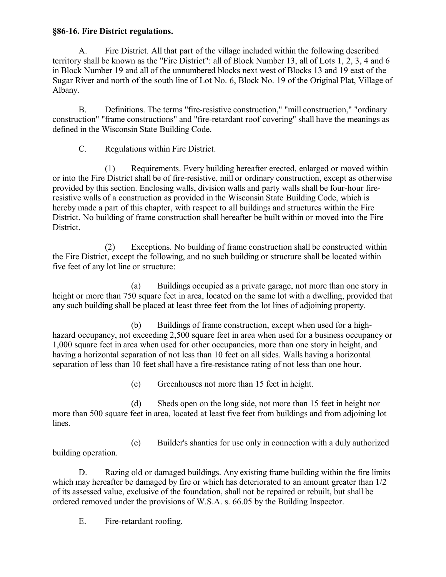### **§86-16. Fire District regulations.**

A. Fire District. All that part of the village included within the following described territory shall be known as the "Fire District": all of Block Number 13, all of Lots 1, 2, 3, 4 and 6 in Block Number 19 and all of the unnumbered blocks next west of Blocks 13 and 19 east of the Sugar River and north of the south line of Lot No. 6, Block No. 19 of the Original Plat, Village of Albany.

B. Definitions. The terms "fire-resistive construction," "mill construction," "ordinary construction" "frame constructions" and "fire-retardant roof covering" shall have the meanings as defined in the Wisconsin State Building Code.

C. Regulations within Fire District.

(1) Requirements. Every building hereafter erected, enlarged or moved within or into the Fire District shall be of fire-resistive, mill or ordinary construction, except as otherwise provided by this section. Enclosing walls, division walls and party walls shall be four-hour fireresistive walls of a construction as provided in the Wisconsin State Building Code, which is hereby made a part of this chapter, with respect to all buildings and structures within the Fire District. No building of frame construction shall hereafter be built within or moved into the Fire District.

(2) Exceptions. No building of frame construction shall be constructed within the Fire District, except the following, and no such building or structure shall be located within five feet of any lot line or structure:

(a) Buildings occupied as a private garage, not more than one story in height or more than 750 square feet in area, located on the same lot with a dwelling, provided that any such building shall be placed at least three feet from the lot lines of adjoining property.

(b) Buildings of frame construction, except when used for a highhazard occupancy, not exceeding 2,500 square feet in area when used for a business occupancy or 1,000 square feet in area when used for other occupancies, more than one story in height, and having a horizontal separation of not less than 10 feet on all sides. Walls having a horizontal separation of less than 10 feet shall have a fire-resistance rating of not less than one hour.

(c) Greenhouses not more than 15 feet in height.

(d) Sheds open on the long side, not more than 15 feet in height nor more than 500 square feet in area, located at least five feet from buildings and from adjoining lot lines.

(e) Builder's shanties for use only in connection with a duly authorized building operation.

D. Razing old or damaged buildings. Any existing frame building within the fire limits which may hereafter be damaged by fire or which has deteriorated to an amount greater than  $1/2$ of its assessed value, exclusive of the foundation, shall not be repaired or rebuilt, but shall be ordered removed under the provisions of W.S.A. s. 66.05 by the Building Inspector.

E. Fire-retardant roofing.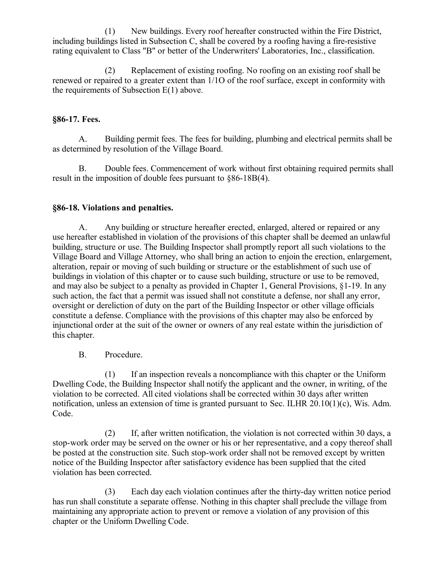(1) New buildings. Every roof hereafter constructed within the Fire District, including buildings listed in Subsection C, shall be covered by a roofing having a fire-resistive rating equivalent to Class "B" or better of the Underwriters' Laboratories, Inc., classification.

(2) Replacement of existing roofing. No roofing on an existing roof shall be renewed or repaired to a greater extent than 1/1O of the roof surface, except in conformity with the requirements of Subsection E(1) above.

## **§86-17. Fees.**

A. Building permit fees. The fees for building, plumbing and electrical permits shall be as determined by resolution of the Village Board.

B. Double fees. Commencement of work without first obtaining required permits shall result in the imposition of double fees pursuant to §86-18B(4).

## **§86-18. Violations and penalties.**

A. Any building or structure hereafter erected, enlarged, altered or repaired or any use hereafter established in violation of the provisions of this chapter shall be deemed an unlawful building, structure or use. The Building Inspector shall promptly report all such violations to the Village Board and Village Attorney, who shall bring an action to enjoin the erection, enlargement, alteration, repair or moving of such building or structure or the establishment of such use of buildings in violation of this chapter or to cause such building, structure or use to be removed, and may also be subject to a penalty as provided in Chapter 1, General Provisions, §1-19. In any such action, the fact that a permit was issued shall not constitute a defense, nor shall any error, oversight or dereliction of duty on the part of the Building Inspector or other village officials constitute a defense. Compliance with the provisions of this chapter may also be enforced by injunctional order at the suit of the owner or owners of any real estate within the jurisdiction of this chapter.

B. Procedure.

(1) If an inspection reveals a noncompliance with this chapter or the Uniform Dwelling Code, the Building Inspector shall notify the applicant and the owner, in writing, of the violation to be corrected. All cited violations shall be corrected within 30 days after written notification, unless an extension of time is granted pursuant to Sec. ILHR  $20.10(1)(c)$ , Wis. Adm. Code.

(2) If, after written notification, the violation is not corrected within 30 days, a stop-work order may be served on the owner or his or her representative, and a copy thereof shall be posted at the construction site. Such stop-work order shall not be removed except by written notice of the Building Inspector after satisfactory evidence has been supplied that the cited violation has been corrected.

(3) Each day each violation continues after the thirty-day written notice period has run shall constitute a separate offense. Nothing in this chapter shall preclude the village from maintaining any appropriate action to prevent or remove a violation of any provision of this chapter or the Uniform Dwelling Code.